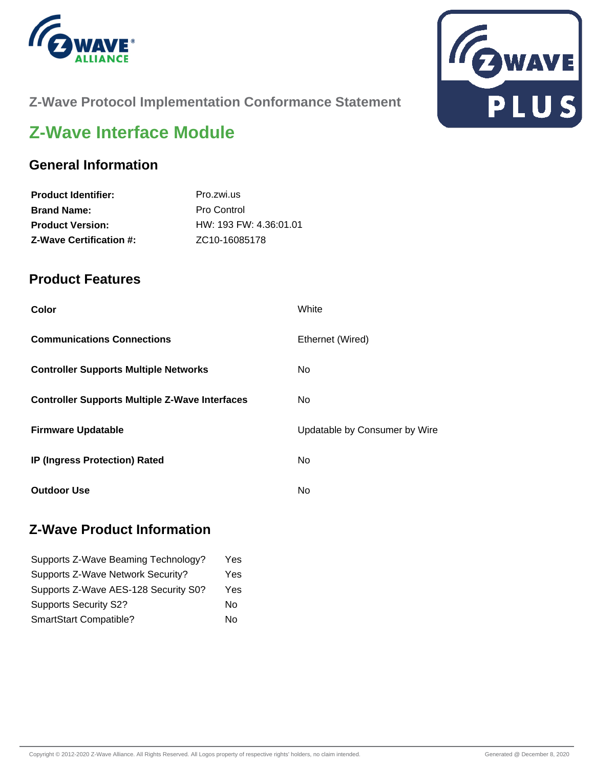



# **Z-Wave Protocol Implementation Conformance Statement**

# **Z-Wave Interface Module**

### **General Information**

| <b>Product Identifier:</b>     | Pro.zwi.us                 |
|--------------------------------|----------------------------|
| <b>Brand Name:</b>             | Pro Control                |
| <b>Product Version:</b>        | HW: 193 FW: 4.36:01.01     |
| <b>Z-Wave Certification #:</b> | ZC <sub>10</sub> -16085178 |

### **Product Features**

| Color                                                 | White                         |
|-------------------------------------------------------|-------------------------------|
| <b>Communications Connections</b>                     | Ethernet (Wired)              |
| <b>Controller Supports Multiple Networks</b>          | No.                           |
| <b>Controller Supports Multiple Z-Wave Interfaces</b> | No.                           |
| <b>Firmware Updatable</b>                             | Updatable by Consumer by Wire |
| <b>IP (Ingress Protection) Rated</b>                  | No.                           |
| <b>Outdoor Use</b>                                    | No                            |

### **Z-Wave Product Information**

| Supports Z-Wave Beaming Technology?  | Yes |
|--------------------------------------|-----|
| Supports Z-Wave Network Security?    | Yes |
| Supports Z-Wave AES-128 Security S0? | Yes |
| <b>Supports Security S2?</b>         | No  |
| SmartStart Compatible?               | No  |